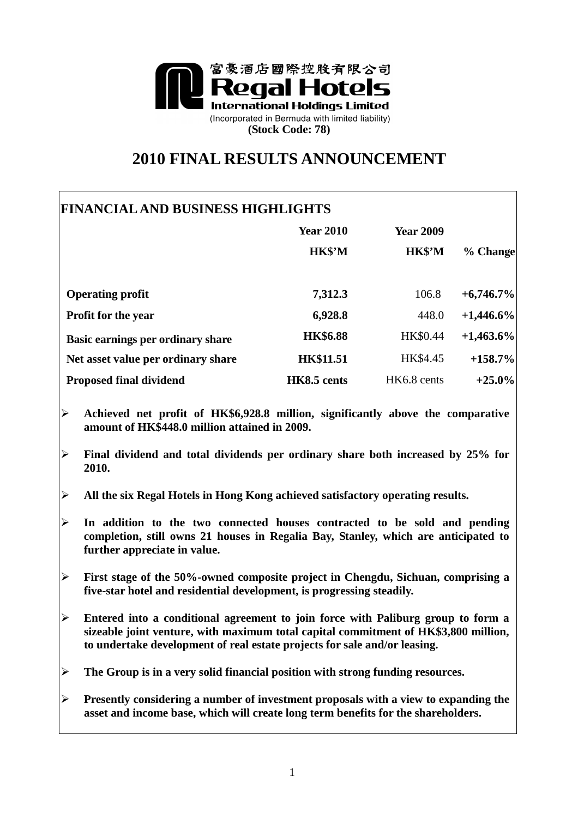

# **2010 FINAL RESULTS ANNOUNCEMENT**

## **FINANCIAL AND BUSINESS HIGHLIGHTS**

|                                    | <b>Year 2010</b><br>HK\$'M | <b>Year 2009</b><br>HK\$'M | % Change     |
|------------------------------------|----------------------------|----------------------------|--------------|
| <b>Operating profit</b>            | 7,312.3                    | 106.8                      | $+6,746.7\%$ |
| <b>Profit for the year</b>         | 6,928.8                    | 448.0                      | $+1,446.6\%$ |
| Basic earnings per ordinary share  | <b>HK\$6.88</b>            | HK\$0.44                   | $+1,463.6\%$ |
| Net asset value per ordinary share | <b>HK\$11.51</b>           | HK\$4.45                   | $+158.7%$    |
| <b>Proposed final dividend</b>     | HK8.5 cents                | HK6.8 cents                | $+25.0%$     |

- **Achieved net profit of HK\$6,928.8 million, significantly above the comparative amount of HK\$448.0 million attained in 2009.**
- **Final dividend and total dividends per ordinary share both increased by 25% for 2010.**
- **All the six Regal Hotels in Hong Kong achieved satisfactory operating results.**
- **In addition to the two connected houses contracted to be sold and pending completion, still owns 21 houses in Regalia Bay, Stanley, which are anticipated to further appreciate in value.**
- **First stage of the 50%-owned composite project in Chengdu, Sichuan, comprising a five-star hotel and residential development, is progressing steadily.**
- **Entered into a conditional agreement to join force with Paliburg group to form a sizeable joint venture, with maximum total capital commitment of HK\$3,800 million, to undertake development of real estate projects for sale and/or leasing.**
- **The Group is in a very solid financial position with strong funding resources.**
- **Presently considering a number of investment proposals with a view to expanding the asset and income base, which will create long term benefits for the shareholders.**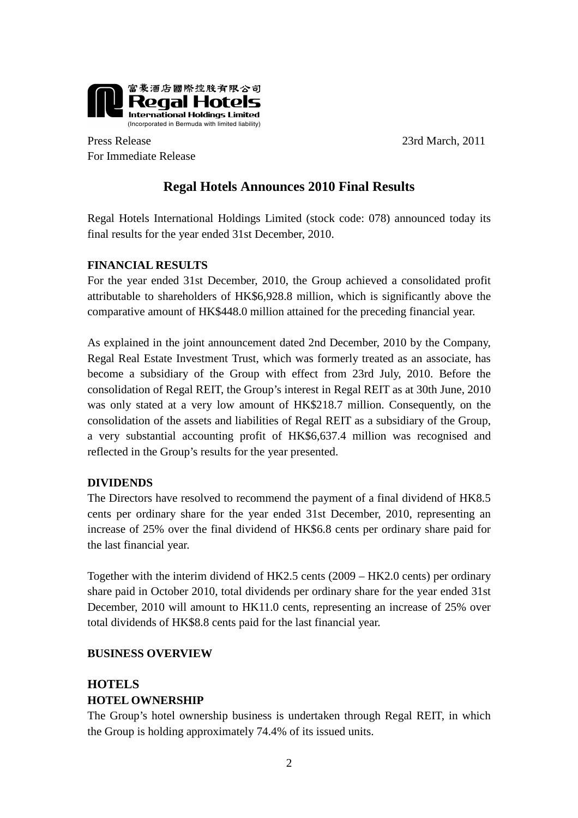

Press Release 23rd March, 2011 For Immediate Release

## **Regal Hotels Announces 2010 Final Results**

Regal Hotels International Holdings Limited (stock code: 078) announced today its final results for the year ended 31st December, 2010.

#### **FINANCIAL RESULTS**

For the year ended 31st December, 2010, the Group achieved a consolidated profit attributable to shareholders of HK\$6,928.8 million, which is significantly above the comparative amount of HK\$448.0 million attained for the preceding financial year.

As explained in the joint announcement dated 2nd December, 2010 by the Company, Regal Real Estate Investment Trust, which was formerly treated as an associate, has become a subsidiary of the Group with effect from 23rd July, 2010. Before the consolidation of Regal REIT, the Group's interest in Regal REIT as at 30th June, 2010 was only stated at a very low amount of HK\$218.7 million. Consequently, on the consolidation of the assets and liabilities of Regal REIT as a subsidiary of the Group, a very substantial accounting profit of HK\$6,637.4 million was recognised and reflected in the Group's results for the year presented.

#### **DIVIDENDS**

The Directors have resolved to recommend the payment of a final dividend of HK8.5 cents per ordinary share for the year ended 31st December, 2010, representing an increase of 25% over the final dividend of HK\$6.8 cents per ordinary share paid for the last financial year.

Together with the interim dividend of HK2.5 cents (2009 – HK2.0 cents) per ordinary share paid in October 2010, total dividends per ordinary share for the year ended 31st December, 2010 will amount to HK11.0 cents, representing an increase of 25% over total dividends of HK\$8.8 cents paid for the last financial year.

#### **BUSINESS OVERVIEW**

### **HOTELS HOTEL OWNERSHIP**

The Group's hotel ownership business is undertaken through Regal REIT, in which the Group is holding approximately 74.4% of its issued units.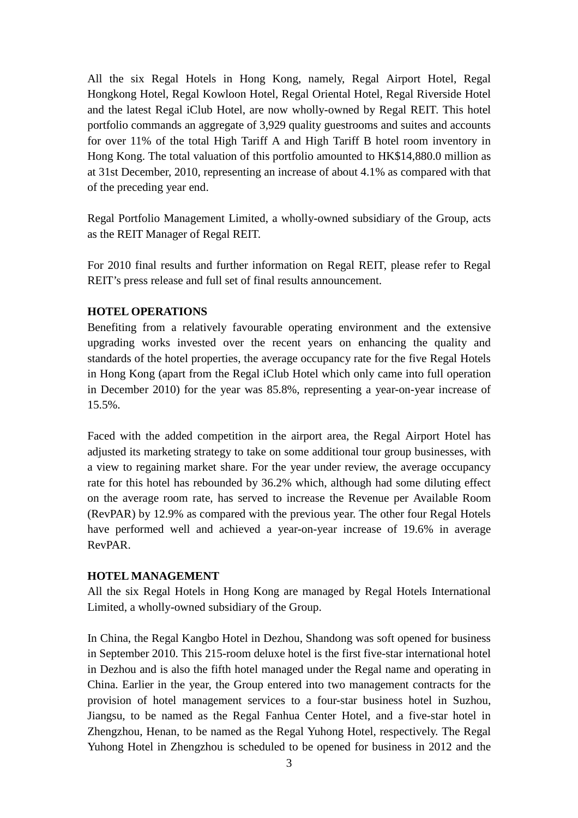All the six Regal Hotels in Hong Kong, namely, Regal Airport Hotel, Regal Hongkong Hotel, Regal Kowloon Hotel, Regal Oriental Hotel, Regal Riverside Hotel and the latest Regal iClub Hotel, are now wholly-owned by Regal REIT. This hotel portfolio commands an aggregate of 3,929 quality guestrooms and suites and accounts for over 11% of the total High Tariff A and High Tariff B hotel room inventory in Hong Kong. The total valuation of this portfolio amounted to HK\$14,880.0 million as at 31st December, 2010, representing an increase of about 4.1% as compared with that of the preceding year end.

Regal Portfolio Management Limited, a wholly-owned subsidiary of the Group, acts as the REIT Manager of Regal REIT.

For 2010 final results and further information on Regal REIT, please refer to Regal REIT's press release and full set of final results announcement.

#### **HOTEL OPERATIONS**

Benefiting from a relatively favourable operating environment and the extensive upgrading works invested over the recent years on enhancing the quality and standards of the hotel properties, the average occupancy rate for the five Regal Hotels in Hong Kong (apart from the Regal iClub Hotel which only came into full operation in December 2010) for the year was 85.8%, representing a year-on-year increase of 15.5%.

Faced with the added competition in the airport area, the Regal Airport Hotel has adjusted its marketing strategy to take on some additional tour group businesses, with a view to regaining market share. For the year under review, the average occupancy rate for this hotel has rebounded by 36.2% which, although had some diluting effect on the average room rate, has served to increase the Revenue per Available Room (RevPAR) by 12.9% as compared with the previous year. The other four Regal Hotels have performed well and achieved a year-on-year increase of 19.6% in average RevPAR.

#### **HOTEL MANAGEMENT**

All the six Regal Hotels in Hong Kong are managed by Regal Hotels International Limited, a wholly-owned subsidiary of the Group.

In China, the Regal Kangbo Hotel in Dezhou, Shandong was soft opened for business in September 2010. This 215-room deluxe hotel is the first five-star international hotel in Dezhou and is also the fifth hotel managed under the Regal name and operating in China. Earlier in the year, the Group entered into two management contracts for the provision of hotel management services to a four-star business hotel in Suzhou, Jiangsu, to be named as the Regal Fanhua Center Hotel, and a five-star hotel in Zhengzhou, Henan, to be named as the Regal Yuhong Hotel, respectively. The Regal Yuhong Hotel in Zhengzhou is scheduled to be opened for business in 2012 and the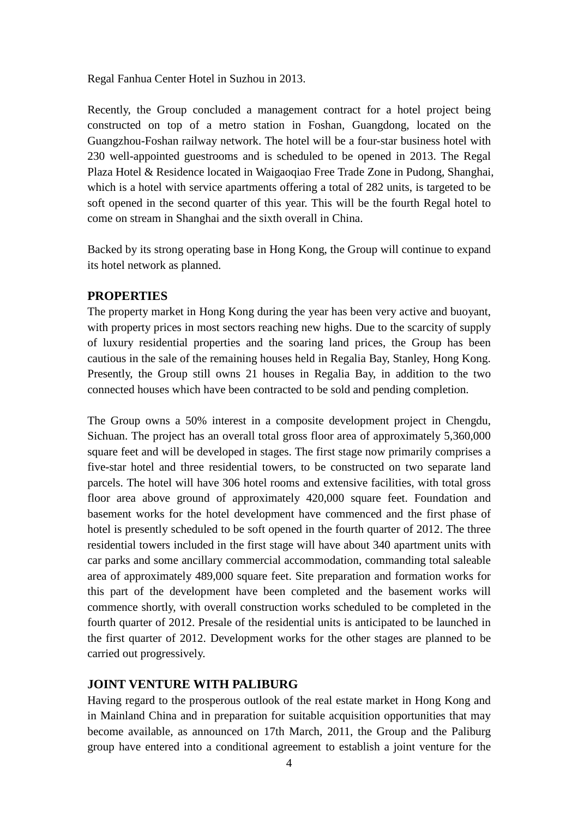Regal Fanhua Center Hotel in Suzhou in 2013.

Recently, the Group concluded a management contract for a hotel project being constructed on top of a metro station in Foshan, Guangdong, located on the Guangzhou-Foshan railway network. The hotel will be a four-star business hotel with 230 well-appointed guestrooms and is scheduled to be opened in 2013. The Regal Plaza Hotel & Residence located in Waigaoqiao Free Trade Zone in Pudong, Shanghai, which is a hotel with service apartments offering a total of 282 units, is targeted to be soft opened in the second quarter of this year. This will be the fourth Regal hotel to come on stream in Shanghai and the sixth overall in China.

Backed by its strong operating base in Hong Kong, the Group will continue to expand its hotel network as planned.

#### **PROPERTIES**

The property market in Hong Kong during the year has been very active and buoyant, with property prices in most sectors reaching new highs. Due to the scarcity of supply of luxury residential properties and the soaring land prices, the Group has been cautious in the sale of the remaining houses held in Regalia Bay, Stanley, Hong Kong. Presently, the Group still owns 21 houses in Regalia Bay, in addition to the two connected houses which have been contracted to be sold and pending completion.

The Group owns a 50% interest in a composite development project in Chengdu, Sichuan. The project has an overall total gross floor area of approximately 5,360,000 square feet and will be developed in stages. The first stage now primarily comprises a five-star hotel and three residential towers, to be constructed on two separate land parcels. The hotel will have 306 hotel rooms and extensive facilities, with total gross floor area above ground of approximately 420,000 square feet. Foundation and basement works for the hotel development have commenced and the first phase of hotel is presently scheduled to be soft opened in the fourth quarter of 2012. The three residential towers included in the first stage will have about 340 apartment units with car parks and some ancillary commercial accommodation, commanding total saleable area of approximately 489,000 square feet. Site preparation and formation works for this part of the development have been completed and the basement works will commence shortly, with overall construction works scheduled to be completed in the fourth quarter of 2012. Presale of the residential units is anticipated to be launched in the first quarter of 2012. Development works for the other stages are planned to be carried out progressively.

#### **JOINT VENTURE WITH PALIBURG**

Having regard to the prosperous outlook of the real estate market in Hong Kong and in Mainland China and in preparation for suitable acquisition opportunities that may become available, as announced on 17th March, 2011, the Group and the Paliburg group have entered into a conditional agreement to establish a joint venture for the